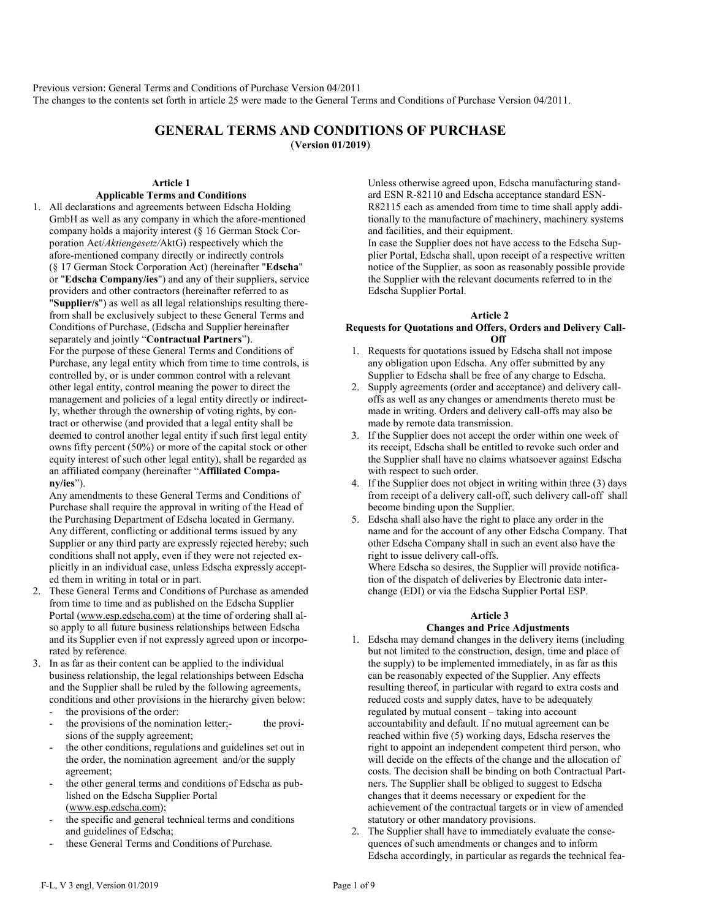Previous version: General Terms and Conditions of Purchase Version 04/2011 The changes to the contents set forth in article 25 were made to the General Terms and Conditions of Purchase Version 04/2011.

# **GENERAL TERMS AND CONDITIONS OF PURCHASE** (**Version 01/2019**)

## **Article 1**

# **Applicable Terms and Conditions**

1. All declarations and agreements between Edscha Holding GmbH as well as any company in which the afore-mentioned company holds a majority interest (§ 16 German Stock Corporation Act/*Aktiengesetz/*AktG) respectively which the afore-mentioned company directly or indirectly controls (§ 17 German Stock Corporation Act) (hereinafter "**Edscha**" or "**Edscha Company/ies**") and any of their suppliers, service providers and other contractors (hereinafter referred to as "**Supplier/s**") as well as all legal relationships resulting therefrom shall be exclusively subject to these General Terms and Conditions of Purchase, (Edscha and Supplier hereinafter separately and jointly "**Contractual Partners**"). For the purpose of these General Terms and Conditions of Purchase, any legal entity which from time to time controls, is controlled by, or is under common control with a relevant other legal entity, control meaning the power to direct the management and policies of a legal entity directly or indirectly, whether through the ownership of voting rights, by contract or otherwise (and provided that a legal entity shall be deemed to control another legal entity if such first legal entity owns fifty percent (50%) or more of the capital stock or other equity interest of such other legal entity), shall be regarded as

an affiliated company (hereinafter "**Affiliated Company/ies**").

Any amendments to these General Terms and Conditions of Purchase shall require the approval in writing of the Head of the Purchasing Department of Edscha located in Germany. Any different, conflicting or additional terms issued by any Supplier or any third party are expressly rejected hereby; such conditions shall not apply, even if they were not rejected explicitly in an individual case, unless Edscha expressly accepted them in writing in total or in part.

- 2. These General Terms and Conditions of Purchase as amended from time to time and as published on the Edscha Supplier Portal [\(www.esp.edscha.com\)](http://www.esp.edscha.com/) at the time of ordering shall also apply to all future business relationships between Edscha and its Supplier even if not expressly agreed upon or incorporated by reference.
- 3. In as far as their content can be applied to the individual business relationship, the legal relationships between Edscha and the Supplier shall be ruled by the following agreements, conditions and other provisions in the hierarchy given below:
	- the provisions of the order:
	- the provisions of the nomination letter;- the provisions of the supply agreement;
	- the other conditions, regulations and guidelines set out in the order, the nomination agreement and/or the supply agreement;
	- the other general terms and conditions of Edscha as published on the Edscha Supplier Portal [\(www.esp.edscha.com\)](http://www.esp.edscha.com/);
	- the specific and general technical terms and conditions and guidelines of Edscha;
	- these General Terms and Conditions of Purchase.

Unless otherwise agreed upon, Edscha manufacturing standard ESN R-82110 and Edscha acceptance standard ESN-R82115 each as amended from time to time shall apply additionally to the manufacture of machinery, machinery systems and facilities, and their equipment.

In case the Supplier does not have access to the Edscha Supplier Portal, Edscha shall, upon receipt of a respective written notice of the Supplier, as soon as reasonably possible provide the Supplier with the relevant documents referred to in the Edscha Supplier Portal.

#### **Article 2**

### **Requests for Quotations and Offers, Orders and Delivery Call-Off**

- 1. Requests for quotations issued by Edscha shall not impose any obligation upon Edscha. Any offer submitted by any Supplier to Edscha shall be free of any charge to Edscha.
- 2. Supply agreements (order and acceptance) and delivery calloffs as well as any changes or amendments thereto must be made in writing. Orders and delivery call-offs may also be made by remote data transmission.
- 3. If the Supplier does not accept the order within one week of its receipt, Edscha shall be entitled to revoke such order and the Supplier shall have no claims whatsoever against Edscha with respect to such order.
- 4. If the Supplier does not object in writing within three (3) days from receipt of a delivery call-off, such delivery call-off shall become binding upon the Supplier.
- 5. Edscha shall also have the right to place any order in the name and for the account of any other Edscha Company. That other Edscha Company shall in such an event also have the right to issue delivery call-offs.

Where Edscha so desires, the Supplier will provide notification of the dispatch of deliveries by Electronic data interchange (EDI) or via the Edscha Supplier Portal ESP.

#### **Article 3**

### **Changes and Price Adjustments**

- 1. Edscha may demand changes in the delivery items (including but not limited to the construction, design, time and place of the supply) to be implemented immediately, in as far as this can be reasonably expected of the Supplier. Any effects resulting thereof, in particular with regard to extra costs and reduced costs and supply dates, have to be adequately regulated by mutual consent – taking into account accountability and default. If no mutual agreement can be reached within five (5) working days, Edscha reserves the right to appoint an independent competent third person, who will decide on the effects of the change and the allocation of costs. The decision shall be binding on both Contractual Partners. The Supplier shall be obliged to suggest to Edscha changes that it deems necessary or expedient for the achievement of the contractual targets or in view of amended statutory or other mandatory provisions.
- 2. The Supplier shall have to immediately evaluate the consequences of such amendments or changes and to inform Edscha accordingly, in particular as regards the technical fea-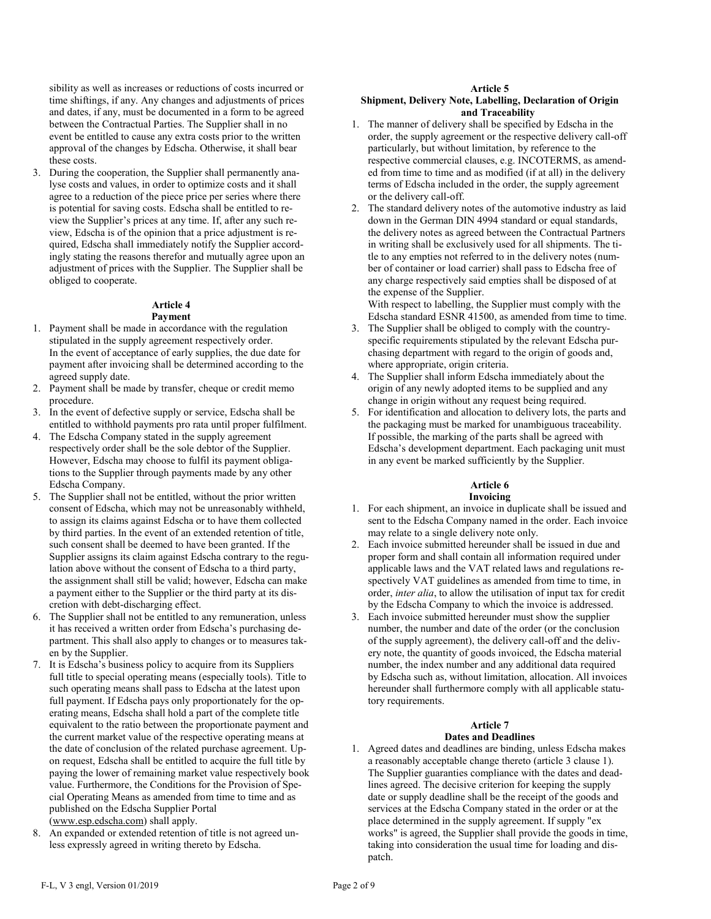sibility as well as increases or reductions of costs incurred or time shiftings, if any. Any changes and adjustments of prices and dates, if any, must be documented in a form to be agreed between the Contractual Parties. The Supplier shall in no event be entitled to cause any extra costs prior to the written approval of the changes by Edscha. Otherwise, it shall bear these costs.

3. During the cooperation, the Supplier shall permanently analyse costs and values, in order to optimize costs and it shall agree to a reduction of the piece price per series where there is potential for saving costs. Edscha shall be entitled to review the Supplier's prices at any time. If, after any such review, Edscha is of the opinion that a price adjustment is required, Edscha shall immediately notify the Supplier accordingly stating the reasons therefor and mutually agree upon an adjustment of prices with the Supplier. The Supplier shall be obliged to cooperate.

#### **Article 4 Payment**

- 1. Payment shall be made in accordance with the regulation stipulated in the supply agreement respectively order. In the event of acceptance of early supplies, the due date for payment after invoicing shall be determined according to the agreed supply date.
- 2. Payment shall be made by transfer, cheque or credit memo procedure.
- 3. In the event of defective supply or service, Edscha shall be entitled to withhold payments pro rata until proper fulfilment.
- 4. The Edscha Company stated in the supply agreement respectively order shall be the sole debtor of the Supplier. However, Edscha may choose to fulfil its payment obligations to the Supplier through payments made by any other Edscha Company.
- 5. The Supplier shall not be entitled, without the prior written consent of Edscha, which may not be unreasonably withheld, to assign its claims against Edscha or to have them collected by third parties. In the event of an extended retention of title, such consent shall be deemed to have been granted. If the Supplier assigns its claim against Edscha contrary to the regulation above without the consent of Edscha to a third party, the assignment shall still be valid; however, Edscha can make a payment either to the Supplier or the third party at its discretion with debt-discharging effect.
- 6. The Supplier shall not be entitled to any remuneration, unless it has received a written order from Edscha's purchasing department. This shall also apply to changes or to measures taken by the Supplier.
- 7. It is Edscha's business policy to acquire from its Suppliers full title to special operating means (especially tools). Title to such operating means shall pass to Edscha at the latest upon full payment. If Edscha pays only proportionately for the operating means, Edscha shall hold a part of the complete title equivalent to the ratio between the proportionate payment and the current market value of the respective operating means at the date of conclusion of the related purchase agreement. Upon request, Edscha shall be entitled to acquire the full title by paying the lower of remaining market value respectively book value. Furthermore, the Conditions for the Provision of Special Operating Means as amended from time to time and as published on the Edscha Supplier Portal [\(www.esp.edscha.com\)](http://www.esp.edscha.com/) shall apply.
- 8. An expanded or extended retention of title is not agreed unless expressly agreed in writing thereto by Edscha.

### **Article 5**

### **Shipment, Delivery Note, Labelling, Declaration of Origin and Traceability**

- 1. The manner of delivery shall be specified by Edscha in the order, the supply agreement or the respective delivery call-off particularly, but without limitation, by reference to the respective commercial clauses, e.g. INCOTERMS, as amended from time to time and as modified (if at all) in the delivery terms of Edscha included in the order, the supply agreement or the delivery call-off.
- 2. The standard delivery notes of the automotive industry as laid down in the German DIN 4994 standard or equal standards, the delivery notes as agreed between the Contractual Partners in writing shall be exclusively used for all shipments. The title to any empties not referred to in the delivery notes (number of container or load carrier) shall pass to Edscha free of any charge respectively said empties shall be disposed of at the expense of the Supplier.

With respect to labelling, the Supplier must comply with the Edscha standard ESNR 41500, as amended from time to time.

- 3. The Supplier shall be obliged to comply with the countryspecific requirements stipulated by the relevant Edscha purchasing department with regard to the origin of goods and, where appropriate, origin criteria.
- 4. The Supplier shall inform Edscha immediately about the origin of any newly adopted items to be supplied and any change in origin without any request being required.
- 5. For identification and allocation to delivery lots, the parts and the packaging must be marked for unambiguous traceability. If possible, the marking of the parts shall be agreed with Edscha's development department. Each packaging unit must in any event be marked sufficiently by the Supplier.

# **Article 6**

# **Invoicing**

- 1. For each shipment, an invoice in duplicate shall be issued and sent to the Edscha Company named in the order. Each invoice may relate to a single delivery note only.
- 2. Each invoice submitted hereunder shall be issued in due and proper form and shall contain all information required under applicable laws and the VAT related laws and regulations respectively VAT guidelines as amended from time to time, in order, *inter alia*, to allow the utilisation of input tax for credit by the Edscha Company to which the invoice is addressed.
- 3. Each invoice submitted hereunder must show the supplier number, the number and date of the order (or the conclusion of the supply agreement), the delivery call-off and the delivery note, the quantity of goods invoiced, the Edscha material number, the index number and any additional data required by Edscha such as, without limitation, allocation. All invoices hereunder shall furthermore comply with all applicable statutory requirements.

# **Article 7**

# **Dates and Deadlines**

1. Agreed dates and deadlines are binding, unless Edscha makes a reasonably acceptable change thereto (article 3 clause 1). The Supplier guaranties compliance with the dates and deadlines agreed. The decisive criterion for keeping the supply date or supply deadline shall be the receipt of the goods and services at the Edscha Company stated in the order or at the place determined in the supply agreement. If supply "ex works" is agreed, the Supplier shall provide the goods in time, taking into consideration the usual time for loading and dispatch.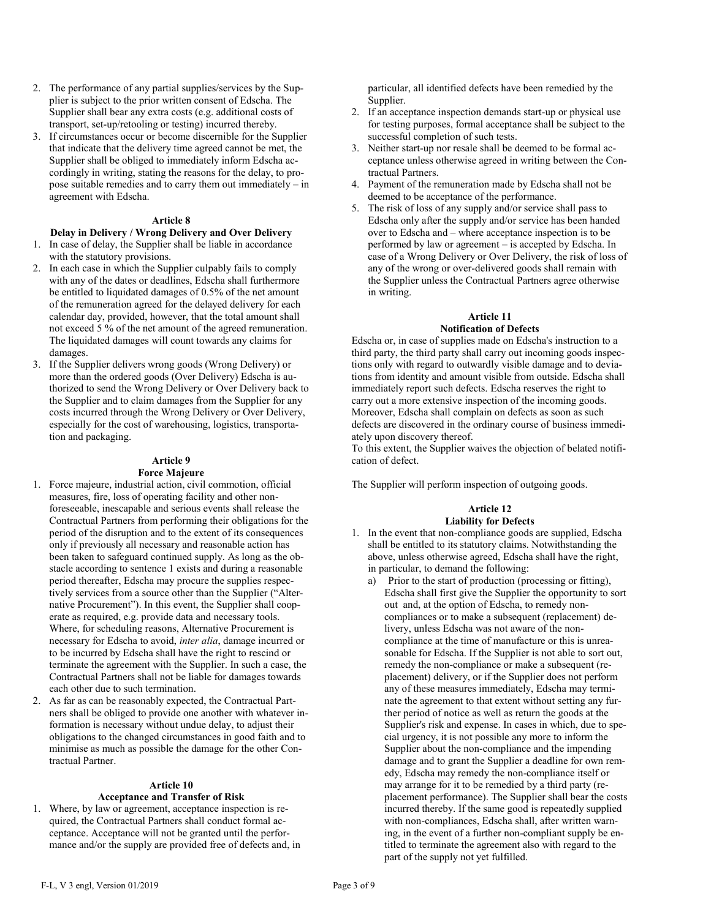- 2. The performance of any partial supplies/services by the Supplier is subject to the prior written consent of Edscha. The Supplier shall bear any extra costs (e.g. additional costs of transport, set-up/retooling or testing) incurred thereby.
- 3. If circumstances occur or become discernible for the Supplier that indicate that the delivery time agreed cannot be met, the Supplier shall be obliged to immediately inform Edscha accordingly in writing, stating the reasons for the delay, to propose suitable remedies and to carry them out immediately – in agreement with Edscha.

# **Article 8**

#### **Delay in Delivery / Wrong Delivery and Over Delivery** 1. In case of delay, the Supplier shall be liable in accordance with the statutory provisions.

- 2. In each case in which the Supplier culpably fails to comply with any of the dates or deadlines, Edscha shall furthermore be entitled to liquidated damages of 0.5% of the net amount of the remuneration agreed for the delayed delivery for each calendar day, provided, however, that the total amount shall not exceed 5 % of the net amount of the agreed remuneration. The liquidated damages will count towards any claims for damages.
- 3. If the Supplier delivers wrong goods (Wrong Delivery) or more than the ordered goods (Over Delivery) Edscha is authorized to send the Wrong Delivery or Over Delivery back to the Supplier and to claim damages from the Supplier for any costs incurred through the Wrong Delivery or Over Delivery, especially for the cost of warehousing, logistics, transportation and packaging.

### **Article 9 Force Majeure**

- 1. Force majeure, industrial action, civil commotion, official measures, fire, loss of operating facility and other nonforeseeable, inescapable and serious events shall release the Contractual Partners from performing their obligations for the period of the disruption and to the extent of its consequences only if previously all necessary and reasonable action has been taken to safeguard continued supply. As long as the obstacle according to sentence 1 exists and during a reasonable period thereafter, Edscha may procure the supplies respectively services from a source other than the Supplier ("Alternative Procurement"). In this event, the Supplier shall cooperate as required, e.g. provide data and necessary tools. Where, for scheduling reasons, Alternative Procurement is necessary for Edscha to avoid, *inter alia*, damage incurred or to be incurred by Edscha shall have the right to rescind or terminate the agreement with the Supplier. In such a case, the Contractual Partners shall not be liable for damages towards each other due to such termination.
- 2. As far as can be reasonably expected, the Contractual Partners shall be obliged to provide one another with whatever information is necessary without undue delay, to adjust their obligations to the changed circumstances in good faith and to minimise as much as possible the damage for the other Contractual Partner.

#### **Article 10**

#### **Acceptance and Transfer of Risk**

1. Where, by law or agreement, acceptance inspection is required, the Contractual Partners shall conduct formal acceptance. Acceptance will not be granted until the performance and/or the supply are provided free of defects and, in

particular, all identified defects have been remedied by the Supplier.

- 2. If an acceptance inspection demands start-up or physical use for testing purposes, formal acceptance shall be subject to the successful completion of such tests.
- 3. Neither start-up nor resale shall be deemed to be formal acceptance unless otherwise agreed in writing between the Contractual Partners.
- 4. Payment of the remuneration made by Edscha shall not be deemed to be acceptance of the performance.
- The risk of loss of any supply and/or service shall pass to Edscha only after the supply and/or service has been handed over to Edscha and – where acceptance inspection is to be performed by law or agreement – is accepted by Edscha. In case of a Wrong Delivery or Over Delivery, the risk of loss of any of the wrong or over-delivered goods shall remain with the Supplier unless the Contractual Partners agree otherwise in writing.

### **Article 11**

### **Notification of Defects**

Edscha or, in case of supplies made on Edscha's instruction to a third party, the third party shall carry out incoming goods inspections only with regard to outwardly visible damage and to deviations from identity and amount visible from outside. Edscha shall immediately report such defects. Edscha reserves the right to carry out a more extensive inspection of the incoming goods. Moreover, Edscha shall complain on defects as soon as such defects are discovered in the ordinary course of business immediately upon discovery thereof.

To this extent, the Supplier waives the objection of belated notification of defect.

The Supplier will perform inspection of outgoing goods.

# **Article 12 Liability for Defects**

- 1. In the event that non-compliance goods are supplied, Edscha shall be entitled to its statutory claims. Notwithstanding the above, unless otherwise agreed, Edscha shall have the right, in particular, to demand the following:
	- a) Prior to the start of production (processing or fitting), Edscha shall first give the Supplier the opportunity to sort out and, at the option of Edscha, to remedy noncompliances or to make a subsequent (replacement) delivery, unless Edscha was not aware of the noncompliance at the time of manufacture or this is unreasonable for Edscha. If the Supplier is not able to sort out, remedy the non-compliance or make a subsequent (replacement) delivery, or if the Supplier does not perform any of these measures immediately, Edscha may terminate the agreement to that extent without setting any further period of notice as well as return the goods at the Supplier's risk and expense. In cases in which, due to special urgency, it is not possible any more to inform the Supplier about the non-compliance and the impending damage and to grant the Supplier a deadline for own remedy, Edscha may remedy the non-compliance itself or may arrange for it to be remedied by a third party (replacement performance). The Supplier shall bear the costs incurred thereby. If the same good is repeatedly supplied with non-compliances, Edscha shall, after written warning, in the event of a further non-compliant supply be entitled to terminate the agreement also with regard to the part of the supply not yet fulfilled.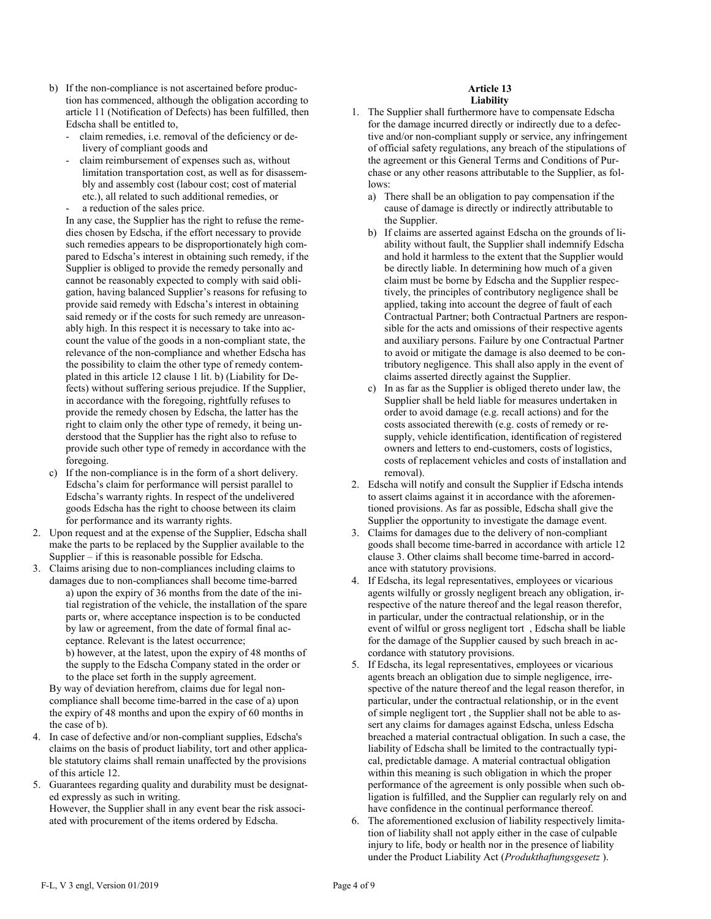- b) If the non-compliance is not ascertained before production has commenced, although the obligation according to article 11 (Notification of Defects) has been fulfilled, then Edscha shall be entitled to,
	- claim remedies, i.e. removal of the deficiency or delivery of compliant goods and
	- claim reimbursement of expenses such as, without limitation transportation cost, as well as for disassembly and assembly cost (labour cost; cost of material etc.), all related to such additional remedies, or
	- a reduction of the sales price.

In any case, the Supplier has the right to refuse the remedies chosen by Edscha, if the effort necessary to provide such remedies appears to be disproportionately high compared to Edscha's interest in obtaining such remedy, if the Supplier is obliged to provide the remedy personally and cannot be reasonably expected to comply with said obligation, having balanced Supplier's reasons for refusing to provide said remedy with Edscha's interest in obtaining said remedy or if the costs for such remedy are unreasonably high. In this respect it is necessary to take into account the value of the goods in a non-compliant state, the relevance of the non-compliance and whether Edscha has the possibility to claim the other type of remedy contemplated in this article 12 clause 1 lit. b) (Liability for Defects) without suffering serious prejudice. If the Supplier, in accordance with the foregoing, rightfully refuses to provide the remedy chosen by Edscha, the latter has the right to claim only the other type of remedy, it being understood that the Supplier has the right also to refuse to provide such other type of remedy in accordance with the foregoing.

- c) If the non-compliance is in the form of a short delivery. Edscha's claim for performance will persist parallel to Edscha's warranty rights. In respect of the undelivered goods Edscha has the right to choose between its claim for performance and its warranty rights.
- 2. Upon request and at the expense of the Supplier, Edscha shall make the parts to be replaced by the Supplier available to the Supplier – if this is reasonable possible for Edscha.
- 3. Claims arising due to non-compliances including claims to damages due to non-compliances shall become time-barred a) upon the expiry of 36 months from the date of the initial registration of the vehicle, the installation of the spare parts or, where acceptance inspection is to be conducted by law or agreement, from the date of formal final acceptance. Relevant is the latest occurrence;

b) however, at the latest, upon the expiry of 48 months of the supply to the Edscha Company stated in the order or to the place set forth in the supply agreement.

By way of deviation herefrom, claims due for legal noncompliance shall become time-barred in the case of a) upon the expiry of 48 months and upon the expiry of 60 months in the case of b).

- 4. In case of defective and/or non-compliant supplies, Edscha's claims on the basis of product liability, tort and other applicable statutory claims shall remain unaffected by the provisions of this article 12.
- 5. Guarantees regarding quality and durability must be designated expressly as such in writing. However, the Supplier shall in any event bear the risk associ-

ated with procurement of the items ordered by Edscha.

### **Article 13 Liability**

- 1. The Supplier shall furthermore have to compensate Edscha for the damage incurred directly or indirectly due to a defective and/or non-compliant supply or service, any infringement of official safety regulations, any breach of the stipulations of the agreement or this General Terms and Conditions of Purchase or any other reasons attributable to the Supplier, as follows:
	- a) There shall be an obligation to pay compensation if the cause of damage is directly or indirectly attributable to the Supplier.
	- b) If claims are asserted against Edscha on the grounds of liability without fault, the Supplier shall indemnify Edscha and hold it harmless to the extent that the Supplier would be directly liable. In determining how much of a given claim must be borne by Edscha and the Supplier respectively, the principles of contributory negligence shall be applied, taking into account the degree of fault of each Contractual Partner; both Contractual Partners are responsible for the acts and omissions of their respective agents and auxiliary persons. Failure by one Contractual Partner to avoid or mitigate the damage is also deemed to be contributory negligence. This shall also apply in the event of claims asserted directly against the Supplier.
	- c) In as far as the Supplier is obliged thereto under law, the Supplier shall be held liable for measures undertaken in order to avoid damage (e.g. recall actions) and for the costs associated therewith (e.g. costs of remedy or resupply, vehicle identification, identification of registered owners and letters to end-customers, costs of logistics, costs of replacement vehicles and costs of installation and removal).
- 2. Edscha will notify and consult the Supplier if Edscha intends to assert claims against it in accordance with the aforementioned provisions. As far as possible, Edscha shall give the Supplier the opportunity to investigate the damage event.
- 3. Claims for damages due to the delivery of non-compliant goods shall become time-barred in accordance with article 12 clause 3. Other claims shall become time-barred in accordance with statutory provisions.
- 4. If Edscha, its legal representatives, employees or vicarious agents wilfully or grossly negligent breach any obligation, irrespective of the nature thereof and the legal reason therefor, in particular, under the contractual relationship, or in the event of wilful or gross negligent tort , Edscha shall be liable for the damage of the Supplier caused by such breach in accordance with statutory provisions.
- 5. If Edscha, its legal representatives, employees or vicarious agents breach an obligation due to simple negligence, irrespective of the nature thereof and the legal reason therefor, in particular, under the contractual relationship, or in the event of simple negligent tort , the Supplier shall not be able to assert any claims for damages against Edscha, unless Edscha breached a material contractual obligation. In such a case, the liability of Edscha shall be limited to the contractually typical, predictable damage. A material contractual obligation within this meaning is such obligation in which the proper performance of the agreement is only possible when such obligation is fulfilled, and the Supplier can regularly rely on and have confidence in the continual performance thereof.
- 6. The aforementioned exclusion of liability respectively limitation of liability shall not apply either in the case of culpable injury to life, body or health nor in the presence of liability under the Product Liability Act (*Produkthaftungsgesetz* ).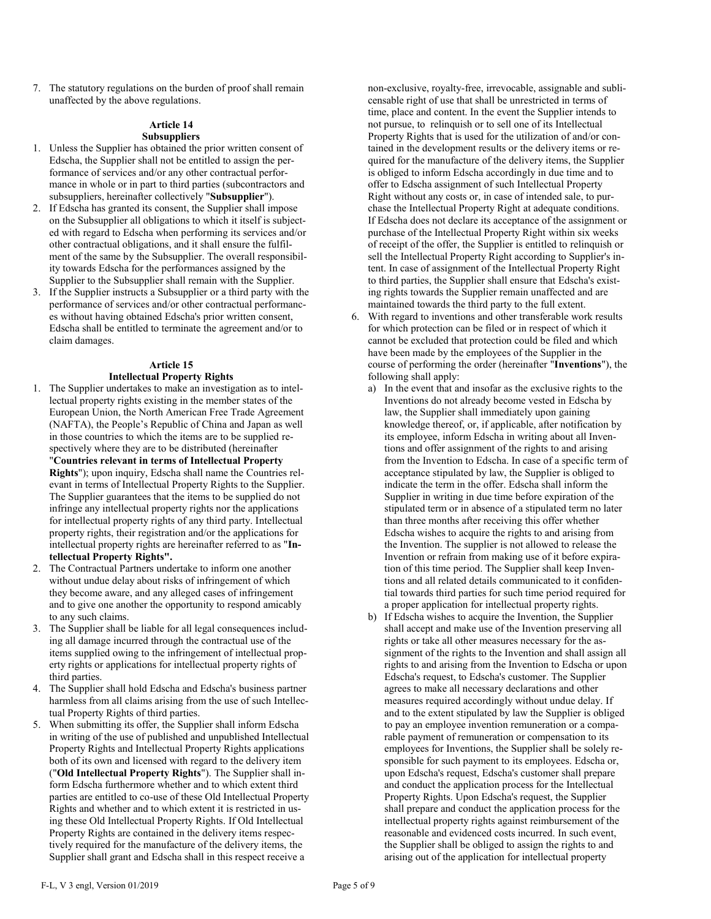7. The statutory regulations on the burden of proof shall remain unaffected by the above regulations.

# **Article 14 Subsuppliers**

- 1. Unless the Supplier has obtained the prior written consent of Edscha, the Supplier shall not be entitled to assign the performance of services and/or any other contractual performance in whole or in part to third parties (subcontractors and subsuppliers, hereinafter collectively "**Subsupplier**").
- 2. If Edscha has granted its consent, the Supplier shall impose on the Subsupplier all obligations to which it itself is subjected with regard to Edscha when performing its services and/or other contractual obligations, and it shall ensure the fulfilment of the same by the Subsupplier. The overall responsibility towards Edscha for the performances assigned by the Supplier to the Subsupplier shall remain with the Supplier.
- 3. If the Supplier instructs a Subsupplier or a third party with the performance of services and/or other contractual performances without having obtained Edscha's prior written consent, Edscha shall be entitled to terminate the agreement and/or to claim damages.

# **Article 15 Intellectual Property Rights**

- 1. The Supplier undertakes to make an investigation as to intellectual property rights existing in the member states of the European Union, the North American Free Trade Agreement (NAFTA), the People's Republic of China and Japan as well in those countries to which the items are to be supplied respectively where they are to be distributed (hereinafter "**Countries relevant in terms of Intellectual Property Rights**"); upon inquiry, Edscha shall name the Countries relevant in terms of Intellectual Property Rights to the Supplier. The Supplier guarantees that the items to be supplied do not infringe any intellectual property rights nor the applications for intellectual property rights of any third party. Intellectual property rights, their registration and/or the applications for intellectual property rights are hereinafter referred to as "**Intellectual Property Rights".**
- 2. The Contractual Partners undertake to inform one another without undue delay about risks of infringement of which they become aware, and any alleged cases of infringement and to give one another the opportunity to respond amicably to any such claims.
- 3. The Supplier shall be liable for all legal consequences including all damage incurred through the contractual use of the items supplied owing to the infringement of intellectual property rights or applications for intellectual property rights of third parties.
- 4. The Supplier shall hold Edscha and Edscha's business partner harmless from all claims arising from the use of such Intellectual Property Rights of third parties.
- 5. When submitting its offer, the Supplier shall inform Edscha in writing of the use of published and unpublished Intellectual Property Rights and Intellectual Property Rights applications both of its own and licensed with regard to the delivery item ("**Old Intellectual Property Rights**"). The Supplier shall inform Edscha furthermore whether and to which extent third parties are entitled to co-use of these Old Intellectual Property Rights and whether and to which extent it is restricted in using these Old Intellectual Property Rights. If Old Intellectual Property Rights are contained in the delivery items respectively required for the manufacture of the delivery items, the Supplier shall grant and Edscha shall in this respect receive a

non-exclusive, royalty-free, irrevocable, assignable and sublicensable right of use that shall be unrestricted in terms of time, place and content. In the event the Supplier intends to not pursue, to relinquish or to sell one of its Intellectual Property Rights that is used for the utilization of and/or contained in the development results or the delivery items or required for the manufacture of the delivery items, the Supplier is obliged to inform Edscha accordingly in due time and to offer to Edscha assignment of such Intellectual Property Right without any costs or, in case of intended sale, to purchase the Intellectual Property Right at adequate conditions. If Edscha does not declare its acceptance of the assignment or purchase of the Intellectual Property Right within six weeks of receipt of the offer, the Supplier is entitled to relinquish or sell the Intellectual Property Right according to Supplier's intent. In case of assignment of the Intellectual Property Right to third parties, the Supplier shall ensure that Edscha's existing rights towards the Supplier remain unaffected and are maintained towards the third party to the full extent.

- 6. With regard to inventions and other transferable work results for which protection can be filed or in respect of which it cannot be excluded that protection could be filed and which have been made by the employees of the Supplier in the course of performing the order (hereinafter "**Inventions**"), the following shall apply:
	- a) In the event that and insofar as the exclusive rights to the Inventions do not already become vested in Edscha by law, the Supplier shall immediately upon gaining knowledge thereof, or, if applicable, after notification by its employee, inform Edscha in writing about all Inventions and offer assignment of the rights to and arising from the Invention to Edscha. In case of a specific term of acceptance stipulated by law, the Supplier is obliged to indicate the term in the offer. Edscha shall inform the Supplier in writing in due time before expiration of the stipulated term or in absence of a stipulated term no later than three months after receiving this offer whether Edscha wishes to acquire the rights to and arising from the Invention. The supplier is not allowed to release the Invention or refrain from making use of it before expiration of this time period. The Supplier shall keep Inventions and all related details communicated to it confidential towards third parties for such time period required for a proper application for intellectual property rights.
	- b) If Edscha wishes to acquire the Invention, the Supplier shall accept and make use of the Invention preserving all rights or take all other measures necessary for the assignment of the rights to the Invention and shall assign all rights to and arising from the Invention to Edscha or upon Edscha's request, to Edscha's customer. The Supplier agrees to make all necessary declarations and other measures required accordingly without undue delay. If and to the extent stipulated by law the Supplier is obliged to pay an employee invention remuneration or a comparable payment of remuneration or compensation to its employees for Inventions, the Supplier shall be solely responsible for such payment to its employees. Edscha or, upon Edscha's request, Edscha's customer shall prepare and conduct the application process for the Intellectual Property Rights. Upon Edscha's request, the Supplier shall prepare and conduct the application process for the intellectual property rights against reimbursement of the reasonable and evidenced costs incurred. In such event, the Supplier shall be obliged to assign the rights to and arising out of the application for intellectual property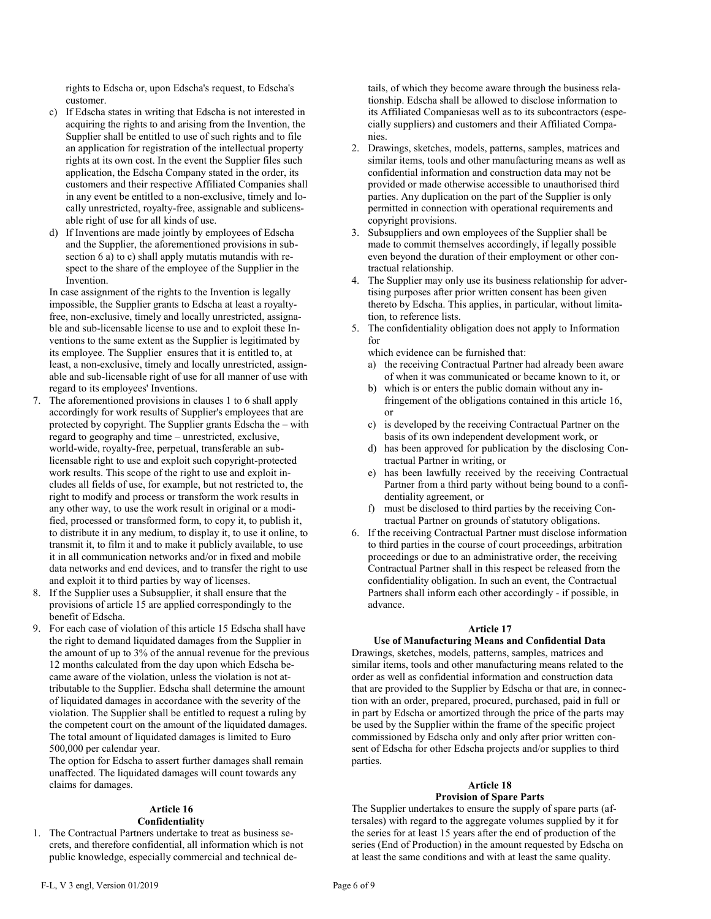rights to Edscha or, upon Edscha's request, to Edscha's customer.

- c) If Edscha states in writing that Edscha is not interested in acquiring the rights to and arising from the Invention, the Supplier shall be entitled to use of such rights and to file an application for registration of the intellectual property rights at its own cost. In the event the Supplier files such application, the Edscha Company stated in the order, its customers and their respective Affiliated Companies shall in any event be entitled to a non-exclusive, timely and locally unrestricted, royalty-free, assignable and sublicensable right of use for all kinds of use.
- d) If Inventions are made jointly by employees of Edscha and the Supplier, the aforementioned provisions in subsection 6 a) to c) shall apply mutatis mutandis with respect to the share of the employee of the Supplier in the Invention.

In case assignment of the rights to the Invention is legally impossible, the Supplier grants to Edscha at least a royaltyfree, non-exclusive, timely and locally unrestricted, assignable and sub-licensable license to use and to exploit these Inventions to the same extent as the Supplier is legitimated by its employee. The Supplier ensures that it is entitled to, at least, a non-exclusive, timely and locally unrestricted, assignable and sub-licensable right of use for all manner of use with regard to its employees' Inventions.

- 7. The aforementioned provisions in clauses 1 to 6 shall apply accordingly for work results of Supplier's employees that are protected by copyright. The Supplier grants Edscha the – with regard to geography and time – unrestricted, exclusive, world-wide, royalty-free, perpetual, transferable an sublicensable right to use and exploit such copyright-protected work results. This scope of the right to use and exploit includes all fields of use, for example, but not restricted to, the right to modify and process or transform the work results in any other way, to use the work result in original or a modified, processed or transformed form, to copy it, to publish it, to distribute it in any medium, to display it, to use it online, to transmit it, to film it and to make it publicly available, to use it in all communication networks and/or in fixed and mobile data networks and end devices, and to transfer the right to use and exploit it to third parties by way of licenses.
- 8. If the Supplier uses a Subsupplier, it shall ensure that the provisions of article 15 are applied correspondingly to the benefit of Edscha.
- 9. For each case of violation of this article 15 Edscha shall have the right to demand liquidated damages from the Supplier in the amount of up to 3% of the annual revenue for the previous 12 months calculated from the day upon which Edscha became aware of the violation, unless the violation is not attributable to the Supplier. Edscha shall determine the amount of liquidated damages in accordance with the severity of the violation. The Supplier shall be entitled to request a ruling by the competent court on the amount of the liquidated damages. The total amount of liquidated damages is limited to Euro 500,000 per calendar year.

The option for Edscha to assert further damages shall remain unaffected. The liquidated damages will count towards any claims for damages.

# **Article 16**

#### **Confidentiality**

1. The Contractual Partners undertake to treat as business secrets, and therefore confidential, all information which is not public knowledge, especially commercial and technical details, of which they become aware through the business relationship. Edscha shall be allowed to disclose information to its Affiliated Companiesas well as to its subcontractors (especially suppliers) and customers and their Affiliated Companies.

- 2. Drawings, sketches, models, patterns, samples, matrices and similar items, tools and other manufacturing means as well as confidential information and construction data may not be provided or made otherwise accessible to unauthorised third parties. Any duplication on the part of the Supplier is only permitted in connection with operational requirements and copyright provisions.
- 3. Subsuppliers and own employees of the Supplier shall be made to commit themselves accordingly, if legally possible even beyond the duration of their employment or other contractual relationship.
- 4. The Supplier may only use its business relationship for advertising purposes after prior written consent has been given thereto by Edscha. This applies, in particular, without limitation, to reference lists.
- 5. The confidentiality obligation does not apply to Information for

which evidence can be furnished that:

- a) the receiving Contractual Partner had already been aware of when it was communicated or became known to it, or
- b) which is or enters the public domain without any infringement of the obligations contained in this article 16, or
- c) is developed by the receiving Contractual Partner on the basis of its own independent development work, or
- d) has been approved for publication by the disclosing Contractual Partner in writing, or
- e) has been lawfully received by the receiving Contractual Partner from a third party without being bound to a confidentiality agreement, or
- f) must be disclosed to third parties by the receiving Contractual Partner on grounds of statutory obligations.
- 6. If the receiving Contractual Partner must disclose information to third parties in the course of court proceedings, arbitration proceedings or due to an administrative order, the receiving Contractual Partner shall in this respect be released from the confidentiality obligation. In such an event, the Contractual Partners shall inform each other accordingly - if possible, in advance.

#### **Article 17**

#### **Use of Manufacturing Means and Confidential Data**

Drawings, sketches, models, patterns, samples, matrices and similar items, tools and other manufacturing means related to the order as well as confidential information and construction data that are provided to the Supplier by Edscha or that are, in connection with an order, prepared, procured, purchased, paid in full or in part by Edscha or amortized through the price of the parts may be used by the Supplier within the frame of the specific project commissioned by Edscha only and only after prior written consent of Edscha for other Edscha projects and/or supplies to third parties.

# **Article 18**

# **Provision of Spare Parts**

The Supplier undertakes to ensure the supply of spare parts (aftersales) with regard to the aggregate volumes supplied by it for the series for at least 15 years after the end of production of the series (End of Production) in the amount requested by Edscha on at least the same conditions and with at least the same quality.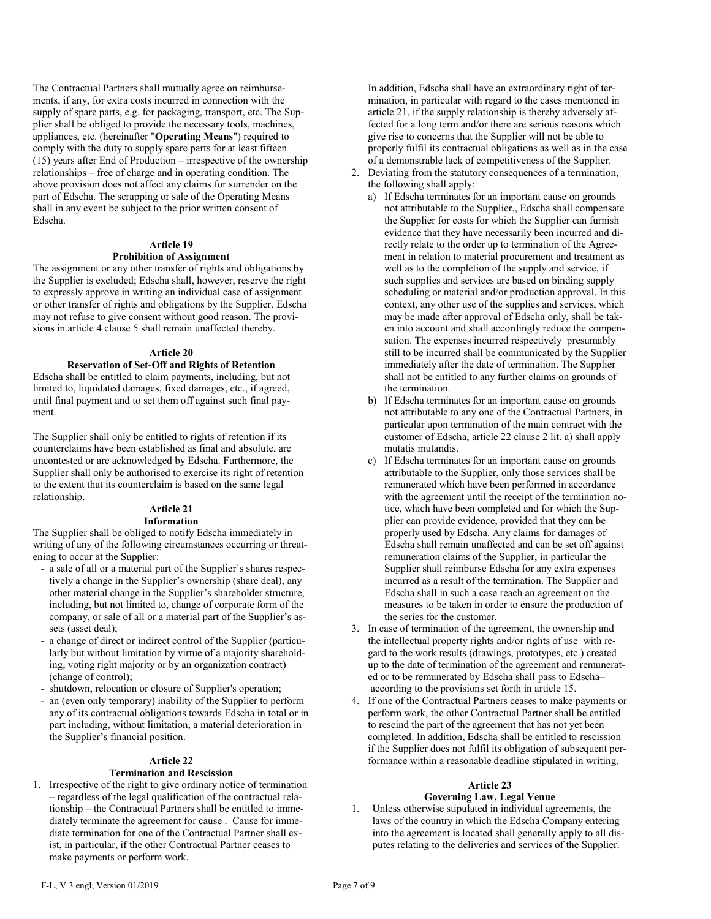The Contractual Partners shall mutually agree on reimbursements, if any, for extra costs incurred in connection with the supply of spare parts, e.g. for packaging, transport, etc. The Supplier shall be obliged to provide the necessary tools, machines, appliances, etc. (hereinafter "**Operating Means**") required to comply with the duty to supply spare parts for at least fifteen  $(15)$  years after End of Production – irrespective of the ownership relationships – free of charge and in operating condition. The above provision does not affect any claims for surrender on the part of Edscha. The scrapping or sale of the Operating Means shall in any event be subject to the prior written consent of Edscha.

#### **Article 19**

### **Prohibition of Assignment**

The assignment or any other transfer of rights and obligations by the Supplier is excluded; Edscha shall, however, reserve the right to expressly approve in writing an individual case of assignment or other transfer of rights and obligations by the Supplier. Edscha may not refuse to give consent without good reason. The provisions in article 4 clause 5 shall remain unaffected thereby.

### **Article 20**

### **Reservation of Set-Off and Rights of Retention**

Edscha shall be entitled to claim payments, including, but not limited to, liquidated damages, fixed damages, etc., if agreed, until final payment and to set them off against such final payment.

The Supplier shall only be entitled to rights of retention if its counterclaims have been established as final and absolute, are uncontested or are acknowledged by Edscha. Furthermore, the Supplier shall only be authorised to exercise its right of retention to the extent that its counterclaim is based on the same legal relationship.

#### **Article 21 Information**

The Supplier shall be obliged to notify Edscha immediately in writing of any of the following circumstances occurring or threatening to occur at the Supplier:

- a sale of all or a material part of the Supplier's shares respectively a change in the Supplier's ownership (share deal), any other material change in the Supplier's shareholder structure, including, but not limited to, change of corporate form of the company, or sale of all or a material part of the Supplier's assets (asset deal);
- a change of direct or indirect control of the Supplier (particularly but without limitation by virtue of a majority shareholding, voting right majority or by an organization contract) (change of control);
- shutdown, relocation or closure of Supplier's operation;
- an (even only temporary) inability of the Supplier to perform any of its contractual obligations towards Edscha in total or in part including, without limitation, a material deterioration in the Supplier's financial position.

#### **Article 22**

## **Termination and Rescission**

1. Irrespective of the right to give ordinary notice of termination – regardless of the legal qualification of the contractual relationship – the Contractual Partners shall be entitled to immediately terminate the agreement for cause . Cause for immediate termination for one of the Contractual Partner shall exist, in particular, if the other Contractual Partner ceases to make payments or perform work.

In addition, Edscha shall have an extraordinary right of termination, in particular with regard to the cases mentioned in article 21, if the supply relationship is thereby adversely affected for a long term and/or there are serious reasons which give rise to concerns that the Supplier will not be able to properly fulfil its contractual obligations as well as in the case of a demonstrable lack of competitiveness of the Supplier.

- 2. Deviating from the statutory consequences of a termination, the following shall apply:
	- a) If Edscha terminates for an important cause on grounds not attributable to the Supplier,, Edscha shall compensate the Supplier for costs for which the Supplier can furnish evidence that they have necessarily been incurred and directly relate to the order up to termination of the Agreement in relation to material procurement and treatment as well as to the completion of the supply and service, if such supplies and services are based on binding supply scheduling or material and/or production approval. In this context, any other use of the supplies and services, which may be made after approval of Edscha only, shall be taken into account and shall accordingly reduce the compensation. The expenses incurred respectively presumably still to be incurred shall be communicated by the Supplier immediately after the date of termination. The Supplier shall not be entitled to any further claims on grounds of the termination.
	- b) If Edscha terminates for an important cause on grounds not attributable to any one of the Contractual Partners, in particular upon termination of the main contract with the customer of Edscha, article 22 clause 2 lit. a) shall apply mutatis mutandis.
	- c) If Edscha terminates for an important cause on grounds attributable to the Supplier, only those services shall be remunerated which have been performed in accordance with the agreement until the receipt of the termination notice, which have been completed and for which the Supplier can provide evidence, provided that they can be properly used by Edscha. Any claims for damages of Edscha shall remain unaffected and can be set off against remuneration claims of the Supplier, in particular the Supplier shall reimburse Edscha for any extra expenses incurred as a result of the termination. The Supplier and Edscha shall in such a case reach an agreement on the measures to be taken in order to ensure the production of the series for the customer.
- 3. In case of termination of the agreement, the ownership and the intellectual property rights and/or rights of use with regard to the work results (drawings, prototypes, etc.) created up to the date of termination of the agreement and remunerated or to be remunerated by Edscha shall pass to Edscha– according to the provisions set forth in article 15.
- 4. If one of the Contractual Partners ceases to make payments or perform work, the other Contractual Partner shall be entitled to rescind the part of the agreement that has not yet been completed. In addition, Edscha shall be entitled to rescission if the Supplier does not fulfil its obligation of subsequent performance within a reasonable deadline stipulated in writing.

#### **Article 23**

### **Governing Law, Legal Venue**

Unless otherwise stipulated in individual agreements, the laws of the country in which the Edscha Company entering into the agreement is located shall generally apply to all disputes relating to the deliveries and services of the Supplier.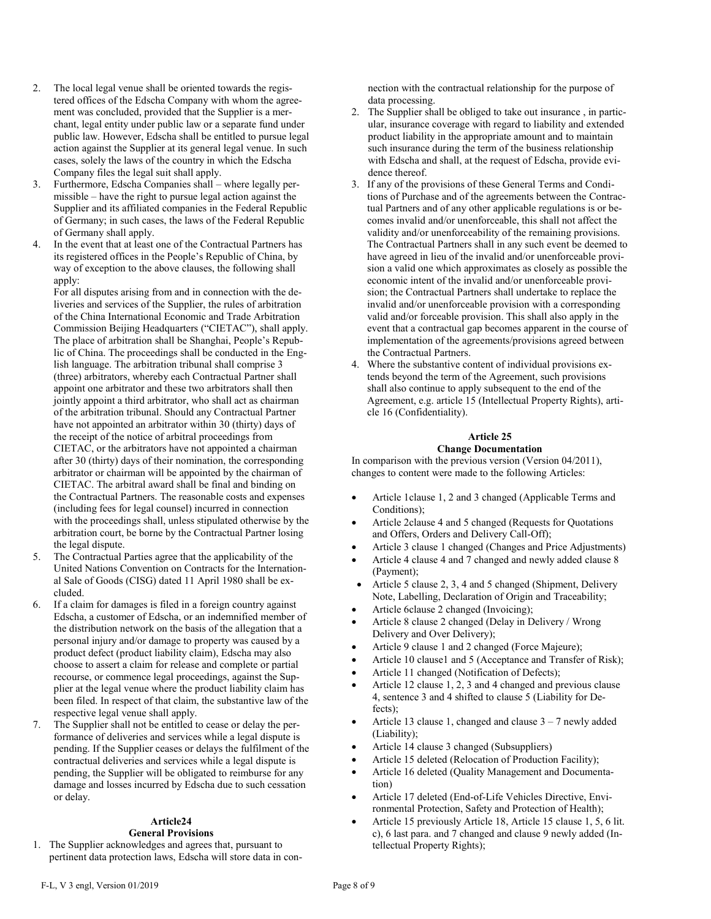- 2. The local legal venue shall be oriented towards the registered offices of the Edscha Company with whom the agreement was concluded, provided that the Supplier is a merchant, legal entity under public law or a separate fund under public law. However, Edscha shall be entitled to pursue legal action against the Supplier at its general legal venue. In such cases, solely the laws of the country in which the Edscha Company files the legal suit shall apply.
- 3. Furthermore, Edscha Companies shall where legally permissible – have the right to pursue legal action against the Supplier and its affiliated companies in the Federal Republic of Germany; in such cases, the laws of the Federal Republic of Germany shall apply.
- 4. In the event that at least one of the Contractual Partners has its registered offices in the People's Republic of China, by way of exception to the above clauses, the following shall apply:

For all disputes arising from and in connection with the deliveries and services of the Supplier, the rules of arbitration of the China International Economic and Trade Arbitration Commission Beijing Headquarters ("CIETAC"), shall apply. The place of arbitration shall be Shanghai, People's Republic of China. The proceedings shall be conducted in the English language. The arbitration tribunal shall comprise 3 (three) arbitrators, whereby each Contractual Partner shall appoint one arbitrator and these two arbitrators shall then jointly appoint a third arbitrator, who shall act as chairman of the arbitration tribunal. Should any Contractual Partner have not appointed an arbitrator within 30 (thirty) days of the receipt of the notice of arbitral proceedings from CIETAC, or the arbitrators have not appointed a chairman after 30 (thirty) days of their nomination, the corresponding arbitrator or chairman will be appointed by the chairman of CIETAC. The arbitral award shall be final and binding on the Contractual Partners. The reasonable costs and expenses (including fees for legal counsel) incurred in connection with the proceedings shall, unless stipulated otherwise by the arbitration court, be borne by the Contractual Partner losing the legal dispute.

- 5. The Contractual Parties agree that the applicability of the United Nations Convention on Contracts for the International Sale of Goods (CISG) dated 11 April 1980 shall be excluded.
- 6. If a claim for damages is filed in a foreign country against Edscha, a customer of Edscha, or an indemnified member of the distribution network on the basis of the allegation that a personal injury and/or damage to property was caused by a product defect (product liability claim), Edscha may also choose to assert a claim for release and complete or partial recourse, or commence legal proceedings, against the Supplier at the legal venue where the product liability claim has been filed. In respect of that claim, the substantive law of the respective legal venue shall apply.
- 7. The Supplier shall not be entitled to cease or delay the performance of deliveries and services while a legal dispute is pending. If the Supplier ceases or delays the fulfilment of the contractual deliveries and services while a legal dispute is pending, the Supplier will be obligated to reimburse for any damage and losses incurred by Edscha due to such cessation or delay.

### **Article24 General Provisions**

1. The Supplier acknowledges and agrees that, pursuant to pertinent data protection laws, Edscha will store data in connection with the contractual relationship for the purpose of data processing.

- 2. The Supplier shall be obliged to take out insurance , in particular, insurance coverage with regard to liability and extended product liability in the appropriate amount and to maintain such insurance during the term of the business relationship with Edscha and shall, at the request of Edscha, provide evidence thereof.
- 3. If any of the provisions of these General Terms and Conditions of Purchase and of the agreements between the Contractual Partners and of any other applicable regulations is or becomes invalid and/or unenforceable, this shall not affect the validity and/or unenforceability of the remaining provisions. The Contractual Partners shall in any such event be deemed to have agreed in lieu of the invalid and/or unenforceable provision a valid one which approximates as closely as possible the economic intent of the invalid and/or unenforceable provision; the Contractual Partners shall undertake to replace the invalid and/or unenforceable provision with a corresponding valid and/or forceable provision. This shall also apply in the event that a contractual gap becomes apparent in the course of implementation of the agreements/provisions agreed between the Contractual Partners.
- 4. Where the substantive content of individual provisions extends beyond the term of the Agreement, such provisions shall also continue to apply subsequent to the end of the Agreement, e.g. article 15 (Intellectual Property Rights), article 16 (Confidentiality).

# **Article 25**

# **Change Documentation**

In comparison with the previous version (Version 04/2011), changes to content were made to the following Articles:

- Article 1clause 1, 2 and 3 changed (Applicable Terms and Conditions);
- Article 2clause 4 and 5 changed (Requests for Quotations and Offers, Orders and Delivery Call-Off);
- Article 3 clause 1 changed (Changes and Price Adjustments)
- Article 4 clause 4 and 7 changed and newly added clause 8 (Payment);
- Article 5 clause 2, 3, 4 and 5 changed (Shipment, Delivery Note, Labelling, Declaration of Origin and Traceability;
- Article 6clause 2 changed (Invoicing);
- Article 8 clause 2 changed (Delay in Delivery / Wrong Delivery and Over Delivery);
- Article 9 clause 1 and 2 changed (Force Majeure);
- Article 10 clause1 and 5 (Acceptance and Transfer of Risk);
- Article 11 changed (Notification of Defects);
- Article 12 clause 1, 2, 3 and 4 changed and previous clause 4, sentence 3 and 4 shifted to clause 5 (Liability for Defects);
- Article 13 clause 1, changed and clause 3 7 newly added (Liability);
- Article 14 clause 3 changed (Subsuppliers)
- Article 15 deleted (Relocation of Production Facility);
- Article 16 deleted (Quality Management and Documentation)
- Article 17 deleted (End-of-Life Vehicles Directive, Environmental Protection, Safety and Protection of Health);
- Article 15 previously Article 18, Article 15 clause 1, 5, 6 lit. c), 6 last para. and 7 changed and clause 9 newly added (Intellectual Property Rights);